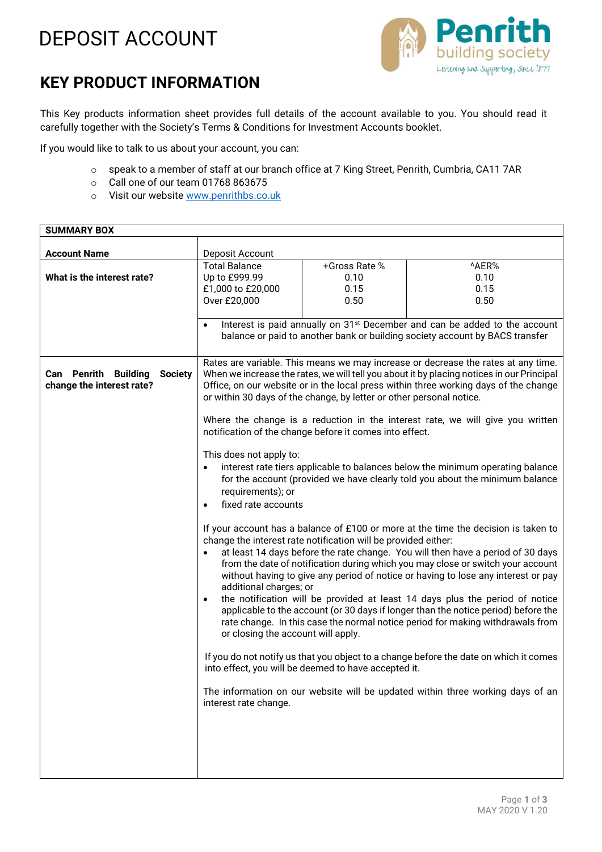## DEPOSIT ACCOUNT



## **KEY PRODUCT INFORMATION**

This Key products information sheet provides full details of the account available to you. You should read it carefully together with the Society's Terms & Conditions for Investment Accounts booklet.

If you would like to talk to us about your account, you can:

- o speak to a member of staff at our branch office at 7 King Street, Penrith, Cumbria, CA11 7AR
- o Call one of our team 01768 863675
- o Visit our website www.penrithbs.co.uk

| <b>SUMMARY BOX</b>                            |                                                                                                                                                                                                                                                           |                                                      |                                                                                                                                                                    |
|-----------------------------------------------|-----------------------------------------------------------------------------------------------------------------------------------------------------------------------------------------------------------------------------------------------------------|------------------------------------------------------|--------------------------------------------------------------------------------------------------------------------------------------------------------------------|
|                                               |                                                                                                                                                                                                                                                           |                                                      |                                                                                                                                                                    |
| <b>Account Name</b>                           | Deposit Account                                                                                                                                                                                                                                           |                                                      |                                                                                                                                                                    |
|                                               | <b>Total Balance</b>                                                                                                                                                                                                                                      | +Gross Rate %                                        | ^AER%                                                                                                                                                              |
| What is the interest rate?                    | Up to £999.99                                                                                                                                                                                                                                             | 0.10                                                 | 0.10                                                                                                                                                               |
|                                               | £1,000 to £20,000                                                                                                                                                                                                                                         | 0.15                                                 | 0.15                                                                                                                                                               |
|                                               | Over £20,000                                                                                                                                                                                                                                              | 0.50                                                 | 0.50                                                                                                                                                               |
|                                               | $\bullet$                                                                                                                                                                                                                                                 |                                                      |                                                                                                                                                                    |
|                                               | Interest is paid annually on 31 <sup>st</sup> December and can be added to the account<br>balance or paid to another bank or building society account by BACS transfer                                                                                    |                                                      |                                                                                                                                                                    |
|                                               |                                                                                                                                                                                                                                                           |                                                      |                                                                                                                                                                    |
|                                               |                                                                                                                                                                                                                                                           |                                                      | Rates are variable. This means we may increase or decrease the rates at any time.                                                                                  |
| <b>Can Penrith Building</b><br><b>Society</b> | When we increase the rates, we will tell you about it by placing notices in our Principal<br>Office, on our website or in the local press within three working days of the change<br>or within 30 days of the change, by letter or other personal notice. |                                                      |                                                                                                                                                                    |
| change the interest rate?                     |                                                                                                                                                                                                                                                           |                                                      |                                                                                                                                                                    |
|                                               |                                                                                                                                                                                                                                                           |                                                      |                                                                                                                                                                    |
|                                               |                                                                                                                                                                                                                                                           |                                                      |                                                                                                                                                                    |
|                                               | Where the change is a reduction in the interest rate, we will give you written<br>notification of the change before it comes into effect.                                                                                                                 |                                                      |                                                                                                                                                                    |
|                                               |                                                                                                                                                                                                                                                           |                                                      |                                                                                                                                                                    |
|                                               | This does not apply to:                                                                                                                                                                                                                                   |                                                      |                                                                                                                                                                    |
|                                               | interest rate tiers applicable to balances below the minimum operating balance                                                                                                                                                                            |                                                      |                                                                                                                                                                    |
|                                               | for the account (provided we have clearly told you about the minimum balance                                                                                                                                                                              |                                                      |                                                                                                                                                                    |
|                                               | requirements); or                                                                                                                                                                                                                                         |                                                      |                                                                                                                                                                    |
|                                               | fixed rate accounts<br>$\bullet$                                                                                                                                                                                                                          |                                                      |                                                                                                                                                                    |
|                                               |                                                                                                                                                                                                                                                           |                                                      |                                                                                                                                                                    |
|                                               | If your account has a balance of £100 or more at the time the decision is taken to<br>change the interest rate notification will be provided either:                                                                                                      |                                                      |                                                                                                                                                                    |
|                                               | at least 14 days before the rate change. You will then have a period of 30 days<br>$\bullet$                                                                                                                                                              |                                                      |                                                                                                                                                                    |
|                                               | from the date of notification during which you may close or switch your account                                                                                                                                                                           |                                                      |                                                                                                                                                                    |
|                                               | without having to give any period of notice or having to lose any interest or pay                                                                                                                                                                         |                                                      |                                                                                                                                                                    |
|                                               | additional charges; or                                                                                                                                                                                                                                    |                                                      |                                                                                                                                                                    |
|                                               | $\bullet$                                                                                                                                                                                                                                                 |                                                      | the notification will be provided at least 14 days plus the period of notice<br>applicable to the account (or 30 days if longer than the notice period) before the |
|                                               |                                                                                                                                                                                                                                                           |                                                      | rate change. In this case the normal notice period for making withdrawals from                                                                                     |
|                                               | or closing the account will apply.                                                                                                                                                                                                                        |                                                      |                                                                                                                                                                    |
|                                               |                                                                                                                                                                                                                                                           |                                                      |                                                                                                                                                                    |
|                                               |                                                                                                                                                                                                                                                           |                                                      | If you do not notify us that you object to a change before the date on which it comes                                                                              |
|                                               |                                                                                                                                                                                                                                                           | into effect, you will be deemed to have accepted it. |                                                                                                                                                                    |
|                                               |                                                                                                                                                                                                                                                           |                                                      |                                                                                                                                                                    |
|                                               | interest rate change.                                                                                                                                                                                                                                     |                                                      | The information on our website will be updated within three working days of an                                                                                     |
|                                               |                                                                                                                                                                                                                                                           |                                                      |                                                                                                                                                                    |
|                                               |                                                                                                                                                                                                                                                           |                                                      |                                                                                                                                                                    |
|                                               |                                                                                                                                                                                                                                                           |                                                      |                                                                                                                                                                    |
|                                               |                                                                                                                                                                                                                                                           |                                                      |                                                                                                                                                                    |
|                                               |                                                                                                                                                                                                                                                           |                                                      |                                                                                                                                                                    |
|                                               |                                                                                                                                                                                                                                                           |                                                      |                                                                                                                                                                    |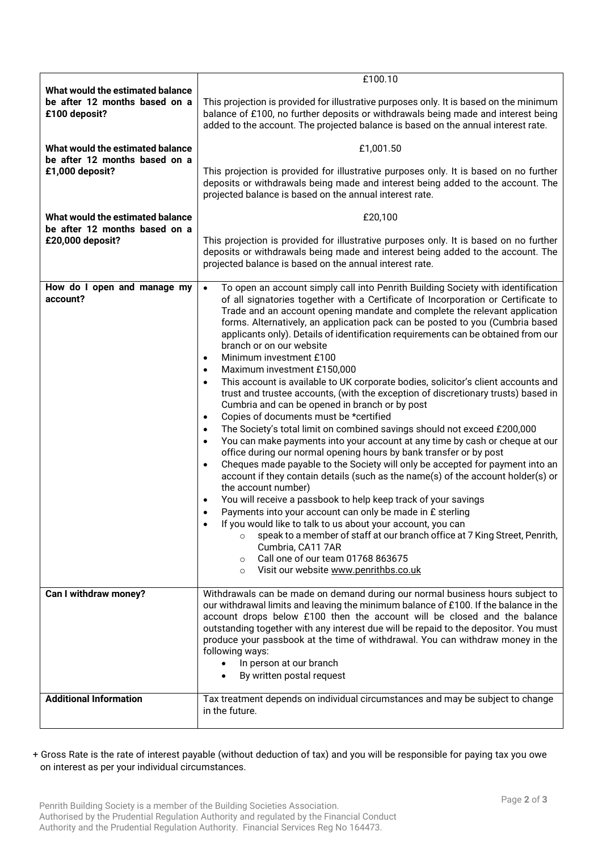|                                                                                       | £100.10                                                                                                                                                                                                                                                                                                                                                                                                                                                                                                                                                                                                                                                                                                                                                                                                                                                                                                                                                                                                                                                                                                                                                                                                                                                                                                                                                                                                                                                                                                                                                                                                                                                                                                                                                               |  |  |
|---------------------------------------------------------------------------------------|-----------------------------------------------------------------------------------------------------------------------------------------------------------------------------------------------------------------------------------------------------------------------------------------------------------------------------------------------------------------------------------------------------------------------------------------------------------------------------------------------------------------------------------------------------------------------------------------------------------------------------------------------------------------------------------------------------------------------------------------------------------------------------------------------------------------------------------------------------------------------------------------------------------------------------------------------------------------------------------------------------------------------------------------------------------------------------------------------------------------------------------------------------------------------------------------------------------------------------------------------------------------------------------------------------------------------------------------------------------------------------------------------------------------------------------------------------------------------------------------------------------------------------------------------------------------------------------------------------------------------------------------------------------------------------------------------------------------------------------------------------------------------|--|--|
| What would the estimated balance<br>be after 12 months based on a<br>£100 deposit?    | This projection is provided for illustrative purposes only. It is based on the minimum<br>balance of £100, no further deposits or withdrawals being made and interest being<br>added to the account. The projected balance is based on the annual interest rate.                                                                                                                                                                                                                                                                                                                                                                                                                                                                                                                                                                                                                                                                                                                                                                                                                                                                                                                                                                                                                                                                                                                                                                                                                                                                                                                                                                                                                                                                                                      |  |  |
| What would the estimated balance                                                      | £1,001.50                                                                                                                                                                                                                                                                                                                                                                                                                                                                                                                                                                                                                                                                                                                                                                                                                                                                                                                                                                                                                                                                                                                                                                                                                                                                                                                                                                                                                                                                                                                                                                                                                                                                                                                                                             |  |  |
| be after 12 months based on a<br>£1,000 deposit?                                      | This projection is provided for illustrative purposes only. It is based on no further<br>deposits or withdrawals being made and interest being added to the account. The<br>projected balance is based on the annual interest rate.                                                                                                                                                                                                                                                                                                                                                                                                                                                                                                                                                                                                                                                                                                                                                                                                                                                                                                                                                                                                                                                                                                                                                                                                                                                                                                                                                                                                                                                                                                                                   |  |  |
| What would the estimated balance<br>be after 12 months based on a<br>£20,000 deposit? | £20,100                                                                                                                                                                                                                                                                                                                                                                                                                                                                                                                                                                                                                                                                                                                                                                                                                                                                                                                                                                                                                                                                                                                                                                                                                                                                                                                                                                                                                                                                                                                                                                                                                                                                                                                                                               |  |  |
|                                                                                       | This projection is provided for illustrative purposes only. It is based on no further<br>deposits or withdrawals being made and interest being added to the account. The<br>projected balance is based on the annual interest rate.                                                                                                                                                                                                                                                                                                                                                                                                                                                                                                                                                                                                                                                                                                                                                                                                                                                                                                                                                                                                                                                                                                                                                                                                                                                                                                                                                                                                                                                                                                                                   |  |  |
| How do I open and manage my<br>account?                                               | To open an account simply call into Penrith Building Society with identification<br>$\bullet$<br>of all signatories together with a Certificate of Incorporation or Certificate to<br>Trade and an account opening mandate and complete the relevant application<br>forms. Alternatively, an application pack can be posted to you (Cumbria based<br>applicants only). Details of identification requirements can be obtained from our<br>branch or on our website<br>Minimum investment £100<br>$\bullet$<br>Maximum investment £150,000<br>$\bullet$<br>This account is available to UK corporate bodies, solicitor's client accounts and<br>$\bullet$<br>trust and trustee accounts, (with the exception of discretionary trusts) based in<br>Cumbria and can be opened in branch or by post<br>Copies of documents must be *certified<br>$\bullet$<br>The Society's total limit on combined savings should not exceed £200,000<br>$\bullet$<br>You can make payments into your account at any time by cash or cheque at our<br>$\bullet$<br>office during our normal opening hours by bank transfer or by post<br>Cheques made payable to the Society will only be accepted for payment into an<br>$\bullet$<br>account if they contain details (such as the name(s) of the account holder(s) or<br>the account number)<br>You will receive a passbook to help keep track of your savings<br>$\bullet$<br>Payments into your account can only be made in £ sterling<br>$\bullet$<br>If you would like to talk to us about your account, you can<br>speak to a member of staff at our branch office at 7 King Street, Penrith,<br>$\circ$<br>Cumbria, CA11 7AR<br>Call one of our team 01768 863675<br>$\circ$<br>Visit our website www.penrithbs.co.uk<br>$\circ$ |  |  |
| Can I withdraw money?                                                                 | Withdrawals can be made on demand during our normal business hours subject to                                                                                                                                                                                                                                                                                                                                                                                                                                                                                                                                                                                                                                                                                                                                                                                                                                                                                                                                                                                                                                                                                                                                                                                                                                                                                                                                                                                                                                                                                                                                                                                                                                                                                         |  |  |
|                                                                                       | our withdrawal limits and leaving the minimum balance of £100. If the balance in the<br>account drops below £100 then the account will be closed and the balance<br>outstanding together with any interest due will be repaid to the depositor. You must<br>produce your passbook at the time of withdrawal. You can withdraw money in the<br>following ways:<br>In person at our branch<br>By written postal request                                                                                                                                                                                                                                                                                                                                                                                                                                                                                                                                                                                                                                                                                                                                                                                                                                                                                                                                                                                                                                                                                                                                                                                                                                                                                                                                                 |  |  |
| <b>Additional Information</b>                                                         | Tax treatment depends on individual circumstances and may be subject to change<br>in the future.                                                                                                                                                                                                                                                                                                                                                                                                                                                                                                                                                                                                                                                                                                                                                                                                                                                                                                                                                                                                                                                                                                                                                                                                                                                                                                                                                                                                                                                                                                                                                                                                                                                                      |  |  |

+ Gross Rate is the rate of interest payable (without deduction of tax) and you will be responsible for paying tax you owe on interest as per your individual circumstances.